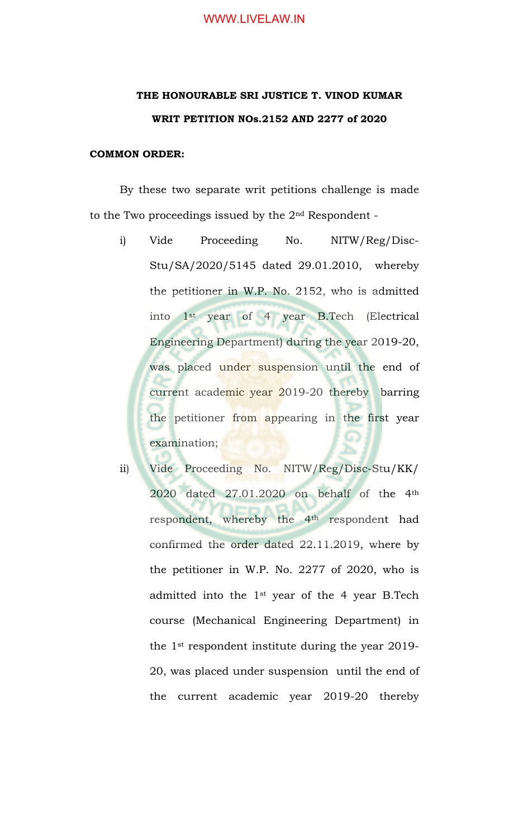## WWW.LIVELAW.IN

## **THE HONOURABLE SRI JUSTICE T. VINOD KUMAR WRIT PETITION NOs.2152 AND 2277 of 2020**

## **COMMON ORDER:**

By these two separate writ petitions challenge is made to the Two proceedings issued by the 2nd Respondent -

- i) Vide Proceeding No. NITW/Reg/Disc-Stu/SA/2020/5145 dated 29.01.2010, whereby the petitioner in W.P. No. 2152, who is admitted into 1st year of 4 year B.Tech (Electrical Engineering Department) during the year 2019-20, was placed under suspension until the end of current academic year 2019-20 thereby barring the petitioner from appearing in the first year examination;
- ii) Vide Proceeding No. NITW/Reg/Disc-Stu/KK/ 2020 dated 27.01.2020 on behalf of the 4th respondent, whereby the 4<sup>th</sup> respondent had confirmed the order dated 22.11.2019, where by the petitioner in W.P. No. 2277 of 2020, who is admitted into the 1st year of the 4 year B.Tech course (Mechanical Engineering Department) in the 1st respondent institute during the year 2019- 20, was placed under suspension until the end of the current academic year 2019-20 thereby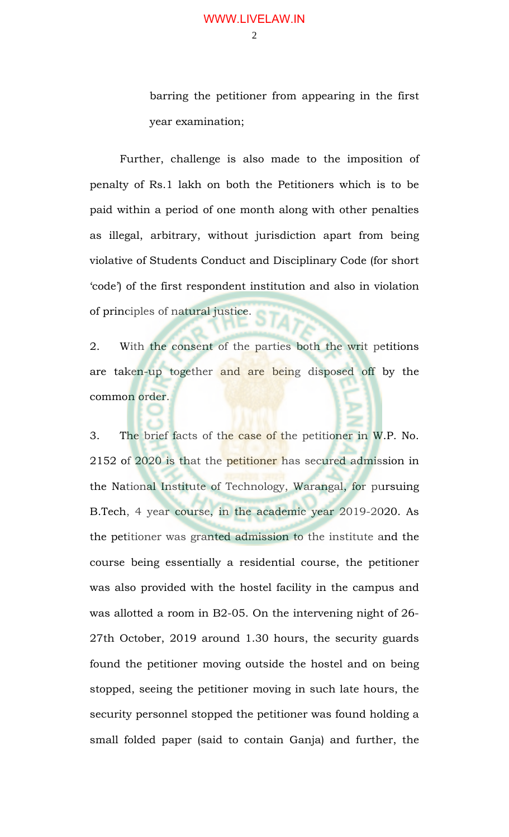$\mathcal{D}_{\mathcal{L}}$ 

barring the petitioner from appearing in the first year examination;

Further, challenge is also made to the imposition of penalty of Rs.1 lakh on both the Petitioners which is to be paid within a period of one month along with other penalties as illegal, arbitrary, without jurisdiction apart from being violative of Students Conduct and Disciplinary Code (for short 'code') of the first respondent institution and also in violation of principles of natural justice.

2. With the consent of the parties both the writ petitions are taken-up together and are being disposed off by the common order.

3. The brief facts of the case of the petitioner in W.P. No. 2152 of 2020 is that the petitioner has secured admission in the National Institute of Technology, Warangal, for pursuing B.Tech, 4 year course, in the academic year 2019-2020. As the petitioner was granted admission to the institute and the course being essentially a residential course, the petitioner was also provided with the hostel facility in the campus and was allotted a room in B2-05. On the intervening night of 26- 27th October, 2019 around 1.30 hours, the security guards found the petitioner moving outside the hostel and on being stopped, seeing the petitioner moving in such late hours, the security personnel stopped the petitioner was found holding a small folded paper (said to contain Ganja) and further, the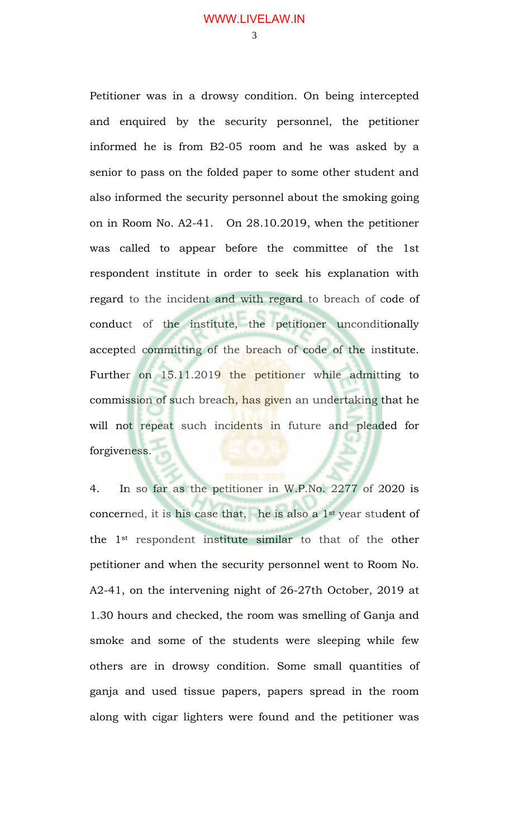Petitioner was in a drowsy condition. On being intercepted and enquired by the security personnel, the petitioner informed he is from B2-05 room and he was asked by a senior to pass on the folded paper to some other student and also informed the security personnel about the smoking going on in Room No. A2-41. On 28.10.2019, when the petitioner was called to appear before the committee of the 1st respondent institute in order to seek his explanation with regard to the incident and with regard to breach of code of conduct of the institute, the petitioner unconditionally accepted committing of the breach of code of the institute. Further on 15.11.2019 the petitioner while admitting to commission of such breach, has given an undertaking that he will not repeat such incidents in future and pleaded for forgiveness.

4. In so far as the petitioner in W.P.No. 2277 of 2020 is concerned, it is his case that, he is also a 1st year student of the 1st respondent institute similar to that of the other petitioner and when the security personnel went to Room No. A2-41, on the intervening night of 26-27th October, 2019 at 1.30 hours and checked, the room was smelling of Ganja and smoke and some of the students were sleeping while few others are in drowsy condition. Some small quantities of ganja and used tissue papers, papers spread in the room along with cigar lighters were found and the petitioner was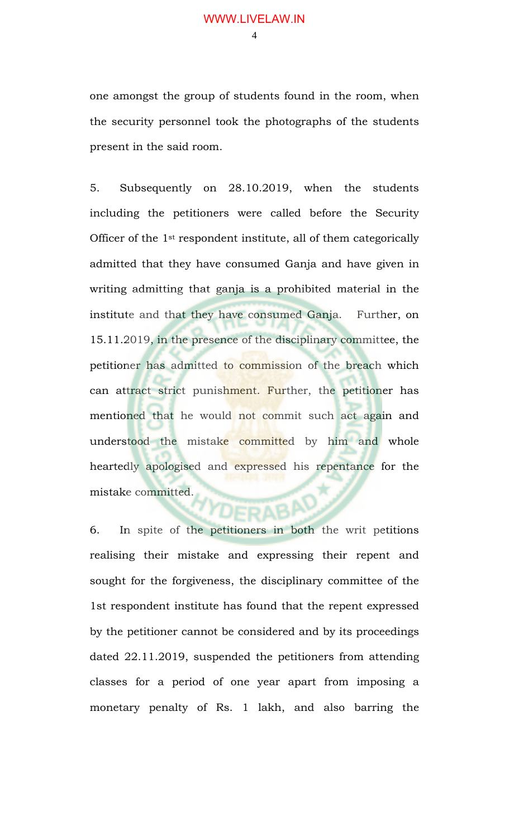one amongst the group of students found in the room, when the security personnel took the photographs of the students present in the said room.

5. Subsequently on 28.10.2019, when the students including the petitioners were called before the Security Officer of the 1st respondent institute, all of them categorically admitted that they have consumed Ganja and have given in writing admitting that ganja is a prohibited material in the institute and that they have consumed Ganja. Further, on 15.11.2019, in the presence of the disciplinary committee, the petitioner has admitted to commission of the breach which can attract strict punishment. Further, the petitioner has mentioned that he would not commit such act again and understood the mistake committed by him and whole heartedly apologised and expressed his repentance for the mistake committed.

6. In spite of the petitioners in both the writ petitions realising their mistake and expressing their repent and sought for the forgiveness, the disciplinary committee of the 1st respondent institute has found that the repent expressed by the petitioner cannot be considered and by its proceedings dated 22.11.2019, suspended the petitioners from attending classes for a period of one year apart from imposing a monetary penalty of Rs. 1 lakh, and also barring the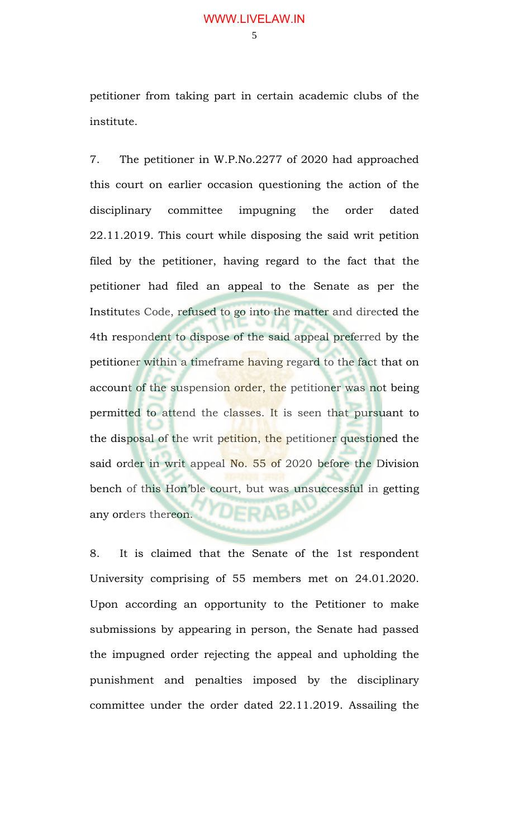petitioner from taking part in certain academic clubs of the institute.

7. The petitioner in W.P.No.2277 of 2020 had approached this court on earlier occasion questioning the action of the disciplinary committee impugning the order dated 22.11.2019. This court while disposing the said writ petition filed by the petitioner, having regard to the fact that the petitioner had filed an appeal to the Senate as per the Institutes Code, refused to go into the matter and directed the 4th respondent to dispose of the said appeal preferred by the petitioner within a timeframe having regard to the fact that on account of the suspension order, the petitioner was not being permitted to attend the classes. It is seen that pursuant to the disposal of the writ petition, the petitioner questioned the said order in writ appeal No. 55 of 2020 before the Division bench of this Hon'ble court, but was unsuccessful in getting YDFRAB any orders thereon.

8. It is claimed that the Senate of the 1st respondent University comprising of 55 members met on 24.01.2020. Upon according an opportunity to the Petitioner to make submissions by appearing in person, the Senate had passed the impugned order rejecting the appeal and upholding the punishment and penalties imposed by the disciplinary committee under the order dated 22.11.2019. Assailing the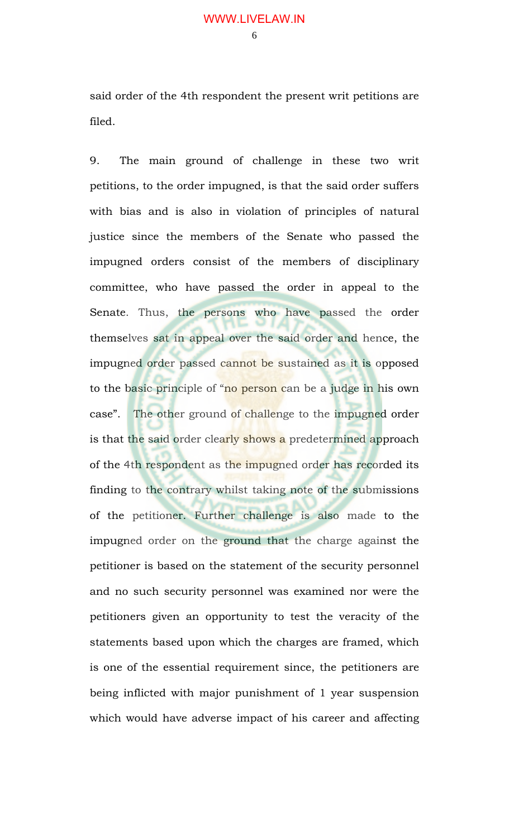said order of the 4th respondent the present writ petitions are filed.

9. The main ground of challenge in these two writ petitions, to the order impugned, is that the said order suffers with bias and is also in violation of principles of natural justice since the members of the Senate who passed the impugned orders consist of the members of disciplinary committee, who have passed the order in appeal to the Senate. Thus, the persons who have passed the order themselves sat in appeal over the said order and hence, the impugned order passed cannot be sustained as it is opposed to the basic principle of "no person can be a judge in his own case". The other ground of challenge to the impugned order is that the said order clearly shows a predetermined approach of the 4th respondent as the impugned order has recorded its finding to the contrary whilst taking note of the submissions of the petitioner. Further challenge is also made to the impugned order on the ground that the charge against the petitioner is based on the statement of the security personnel and no such security personnel was examined nor were the petitioners given an opportunity to test the veracity of the statements based upon which the charges are framed, which is one of the essential requirement since, the petitioners are being inflicted with major punishment of 1 year suspension which would have adverse impact of his career and affecting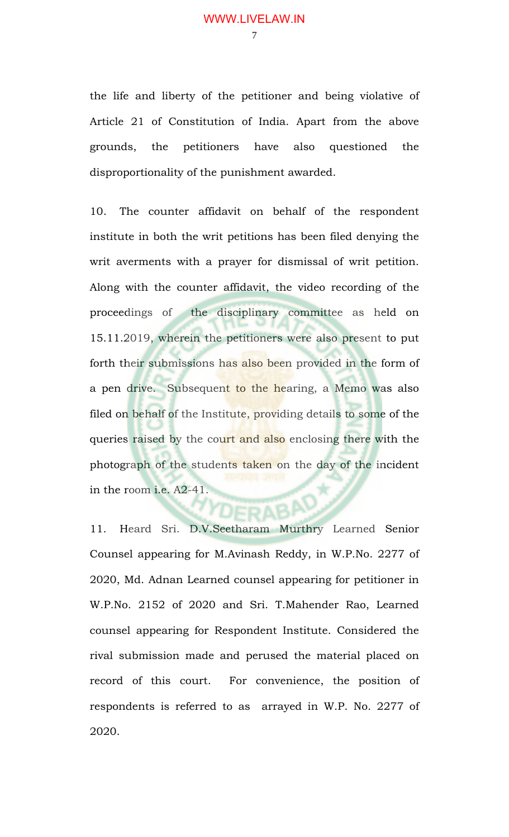the life and liberty of the petitioner and being violative of Article 21 of Constitution of India. Apart from the above grounds, the petitioners have also questioned the disproportionality of the punishment awarded.

10. The counter affidavit on behalf of the respondent institute in both the writ petitions has been filed denying the writ averments with a prayer for dismissal of writ petition. Along with the counter affidavit, the video recording of the proceedings of the disciplinary committee as held on 15.11.2019, wherein the petitioners were also present to put forth their submissions has also been provided in the form of a pen drive. Subsequent to the hearing, a Memo was also filed on behalf of the Institute, providing details to some of the queries raised by the court and also enclosing there with the photograph of the students taken on the day of the incident in the room i.e. A2-41.

11. Heard Sri. D.V.Seetharam Murthry Learned Senior Counsel appearing for M.Avinash Reddy, in W.P.No. 2277 of 2020, Md. Adnan Learned counsel appearing for petitioner in W.P.No. 2152 of 2020 and Sri. T.Mahender Rao, Learned counsel appearing for Respondent Institute. Considered the rival submission made and perused the material placed on record of this court. For convenience, the position of respondents is referred to as arrayed in W.P. No. 2277 of 2020.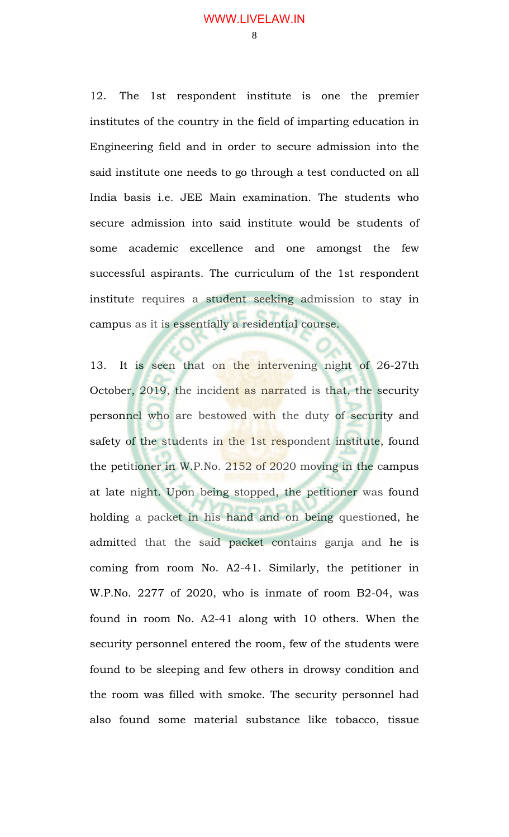12. The 1st respondent institute is one the premier institutes of the country in the field of imparting education in Engineering field and in order to secure admission into the said institute one needs to go through a test conducted on all India basis i.e. JEE Main examination. The students who secure admission into said institute would be students of some academic excellence and one amongst the few successful aspirants. The curriculum of the 1st respondent institute requires a student seeking admission to stay in campus as it is essentially a residential course.

13. It is seen that on the intervening night of 26-27th October, 2019, the incident as narrated is that, the security personnel who are bestowed with the duty of security and safety of the students in the 1st respondent institute, found the petitioner in W.P.No. 2152 of 2020 moving in the campus at late night. Upon being stopped, the petitioner was found holding a packet in his hand and on being questioned, he admitted that the said packet contains ganja and he is coming from room No. A2-41. Similarly, the petitioner in W.P.No. 2277 of 2020, who is inmate of room B2-04, was found in room No. A2-41 along with 10 others. When the security personnel entered the room, few of the students were found to be sleeping and few others in drowsy condition and the room was filled with smoke. The security personnel had also found some material substance like tobacco, tissue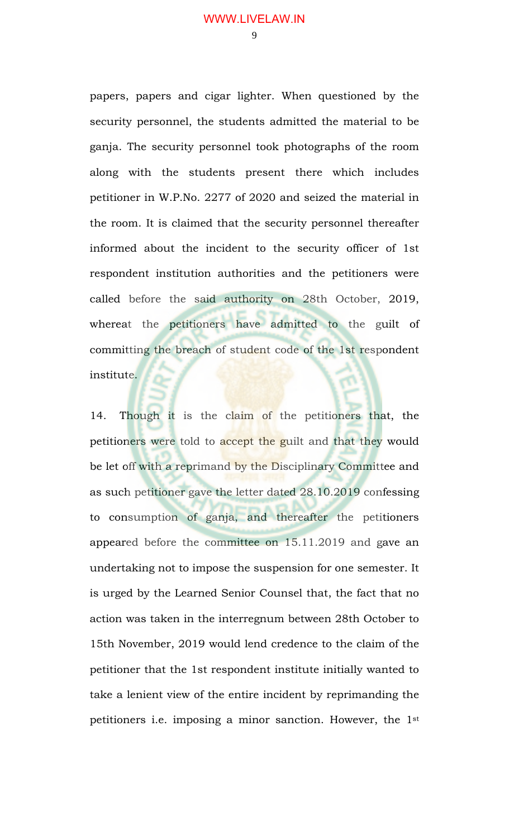$\mathbf Q$ 

papers, papers and cigar lighter. When questioned by the security personnel, the students admitted the material to be ganja. The security personnel took photographs of the room along with the students present there which includes petitioner in W.P.No. 2277 of 2020 and seized the material in the room. It is claimed that the security personnel thereafter informed about the incident to the security officer of 1st respondent institution authorities and the petitioners were called before the said authority on 28th October, 2019, whereat the petitioners have admitted to the guilt of committing the breach of student code of the 1st respondent institute.

14. Though it is the claim of the petitioners that, the petitioners were told to accept the guilt and that they would be let off with a reprimand by the Disciplinary Committee and as such petitioner gave the letter dated 28.10.2019 confessing to consumption of ganja, and thereafter the petitioners appeared before the committee on 15.11.2019 and gave an undertaking not to impose the suspension for one semester. It is urged by the Learned Senior Counsel that, the fact that no action was taken in the interregnum between 28th October to 15th November, 2019 would lend credence to the claim of the petitioner that the 1st respondent institute initially wanted to take a lenient view of the entire incident by reprimanding the petitioners i.e. imposing a minor sanction. However, the 1st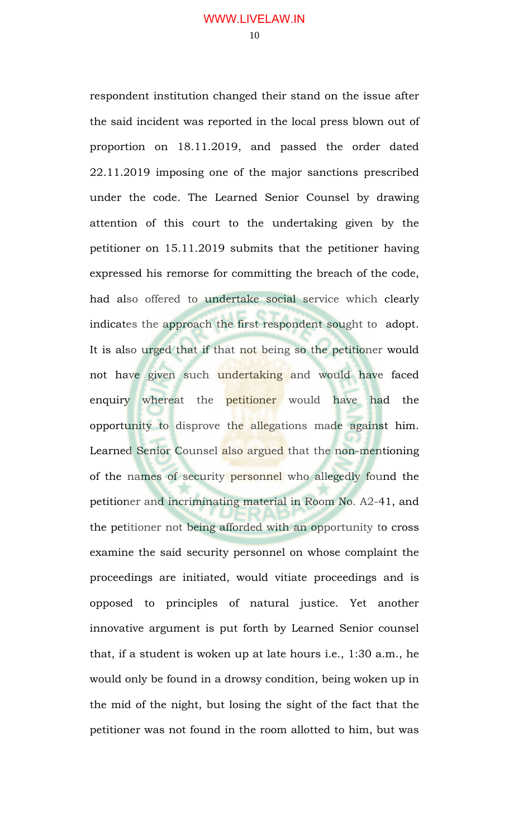respondent institution changed their stand on the issue after the said incident was reported in the local press blown out of proportion on 18.11.2019, and passed the order dated 22.11.2019 imposing one of the major sanctions prescribed under the code. The Learned Senior Counsel by drawing attention of this court to the undertaking given by the petitioner on 15.11.2019 submits that the petitioner having expressed his remorse for committing the breach of the code, had also offered to undertake social service which clearly indicates the approach the first respondent sought to adopt. It is also urged that if that not being so the petitioner would not have given such undertaking and would have faced enquiry whereat the petitioner would have had the opportunity to disprove the allegations made against him. Learned Senior Counsel also argued that the non-mentioning of the names of security personnel who allegedly found the petitioner and incriminating material in Room No. A2-41, and the petitioner not being afforded with an opportunity to cross examine the said security personnel on whose complaint the proceedings are initiated, would vitiate proceedings and is opposed to principles of natural justice. Yet another innovative argument is put forth by Learned Senior counsel that, if a student is woken up at late hours i.e., 1:30 a.m., he would only be found in a drowsy condition, being woken up in the mid of the night, but losing the sight of the fact that the petitioner was not found in the room allotted to him, but was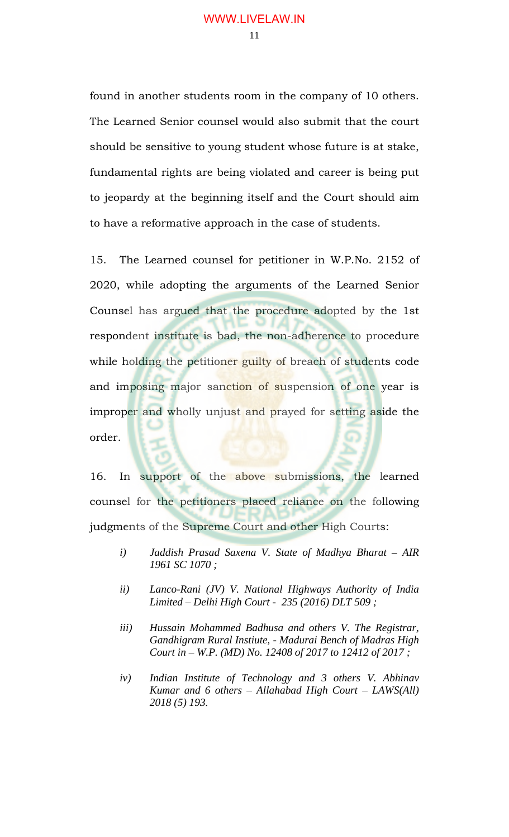found in another students room in the company of 10 others. The Learned Senior counsel would also submit that the court should be sensitive to young student whose future is at stake, fundamental rights are being violated and career is being put to jeopardy at the beginning itself and the Court should aim to have a reformative approach in the case of students.

15. The Learned counsel for petitioner in W.P.No. 2152 of 2020, while adopting the arguments of the Learned Senior Counsel has argued that the procedure adopted by the 1st respondent institute is bad, the non-adherence to procedure while holding the petitioner guilty of breach of students code and imposing major sanction of suspension of one year is improper and wholly unjust and prayed for setting aside the order.

16. In support of the above submissions, the learned counsel for the petitioners placed reliance on the following judgments of the Supreme Court and other High Courts:

- *i) Jaddish Prasad Saxena V. State of Madhya Bharat AIR 1961 SC 1070 ;*
- *ii) Lanco-Rani (JV) V. National Highways Authority of India Limited – Delhi High Court - 235 (2016) DLT 509 ;*
- *iii) Hussain Mohammed Badhusa and others V. The Registrar, Gandhigram Rural Instiute, - Madurai Bench of Madras High Court in – W.P. (MD) No. 12408 of 2017 to 12412 of 2017 ;*
- *iv) Indian Institute of Technology and 3 others V. Abhinav Kumar and 6 others – Allahabad High Court – LAWS(All) 2018 (5) 193.*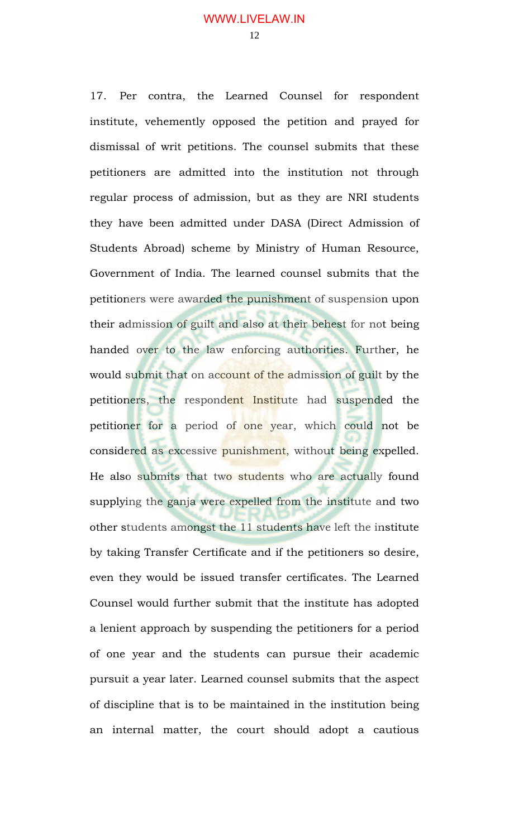17. Per contra, the Learned Counsel for respondent institute, vehemently opposed the petition and prayed for dismissal of writ petitions. The counsel submits that these petitioners are admitted into the institution not through regular process of admission, but as they are NRI students they have been admitted under DASA (Direct Admission of Students Abroad) scheme by Ministry of Human Resource, Government of India. The learned counsel submits that the petitioners were awarded the punishment of suspension upon their admission of guilt and also at their behest for not being handed over to the law enforcing authorities. Further, he would submit that on account of the admission of guilt by the petitioners, the respondent Institute had suspended the petitioner for a period of one year, which could not be considered as excessive punishment, without being expelled. He also submits that two students who are actually found supplying the ganja were expelled from the institute and two other students amongst the 11 students have left the institute by taking Transfer Certificate and if the petitioners so desire, even they would be issued transfer certificates. The Learned Counsel would further submit that the institute has adopted a lenient approach by suspending the petitioners for a period of one year and the students can pursue their academic pursuit a year later. Learned counsel submits that the aspect of discipline that is to be maintained in the institution being an internal matter, the court should adopt a cautious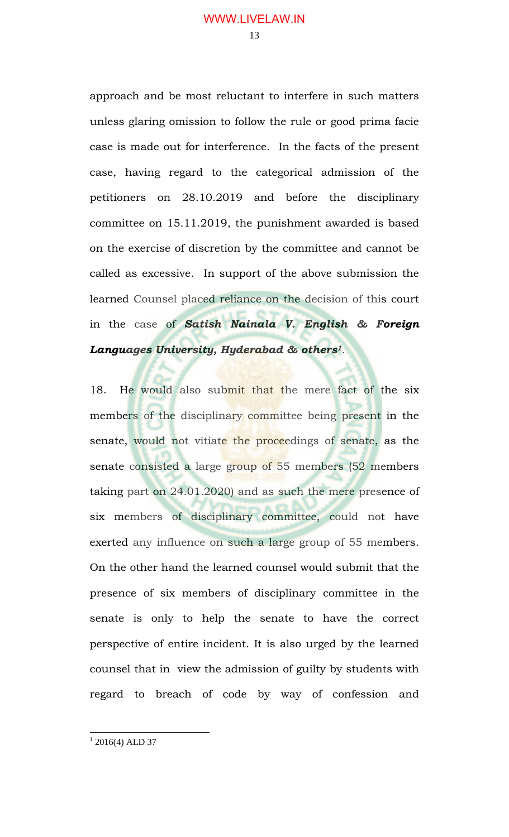approach and be most reluctant to interfere in such matters unless glaring omission to follow the rule or good prima facie case is made out for interference. In the facts of the present case, having regard to the categorical admission of the petitioners on 28.10.2019 and before the disciplinary committee on 15.11.2019, the punishment awarded is based on the exercise of discretion by the committee and cannot be called as excessive. In support of the above submission the learned Counsel placed reliance on the decision of this court in the case of *Satish Nainala V. English & Foreign Languages University, Hyderabad & others1*.

18. He would also submit that the mere fact of the six members of the disciplinary committee being present in the senate, would not vitiate the proceedings of senate, as the senate consisted a large group of 55 members (52 members taking part on 24.01.2020) and as such the mere presence of six members of disciplinary committee, could not have exerted any influence on such a large group of 55 members. On the other hand the learned counsel would submit that the presence of six members of disciplinary committee in the senate is only to help the senate to have the correct perspective of entire incident. It is also urged by the learned counsel that in view the admission of guilty by students with regard to breach of code by way of confession and

 $\overline{a}$ 

 $1$  2016(4) ALD 37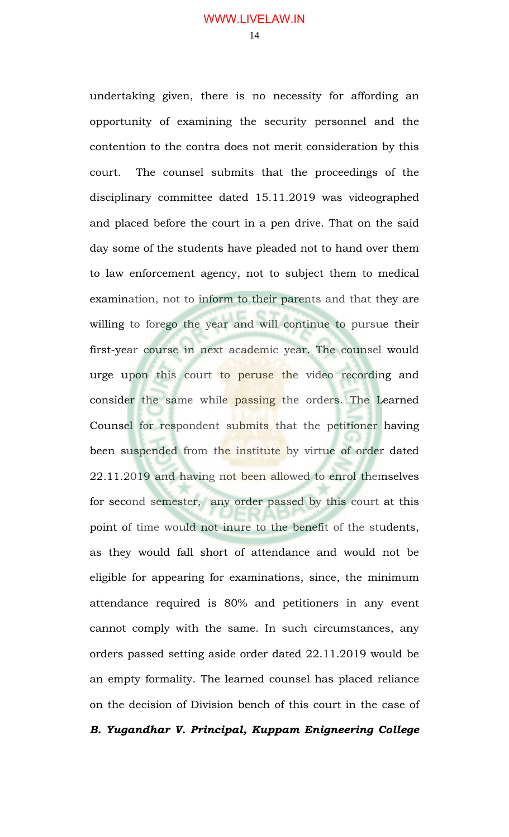undertaking given, there is no necessity for affording an opportunity of examining the security personnel and the contention to the contra does not merit consideration by this court. The counsel submits that the proceedings of the disciplinary committee dated 15.11.2019 was videographed and placed before the court in a pen drive. That on the said day some of the students have pleaded not to hand over them to law enforcement agency, not to subject them to medical examination, not to inform to their parents and that they are willing to forego the year and will continue to pursue their first-year course in next academic year. The counsel would urge upon this court to peruse the video recording and consider the same while passing the orders. The Learned Counsel for respondent submits that the petitioner having been suspended from the institute by virtue of order dated 22.11.2019 and having not been allowed to enrol themselves for second semester, any order passed by this court at this point of time would not inure to the benefit of the students, as they would fall short of attendance and would not be eligible for appearing for examinations, since, the minimum attendance required is 80% and petitioners in any event cannot comply with the same. In such circumstances, any orders passed setting aside order dated 22.11.2019 would be an empty formality. The learned counsel has placed reliance on the decision of Division bench of this court in the case of

*B. Yugandhar V. Principal, Kuppam Enigneering College*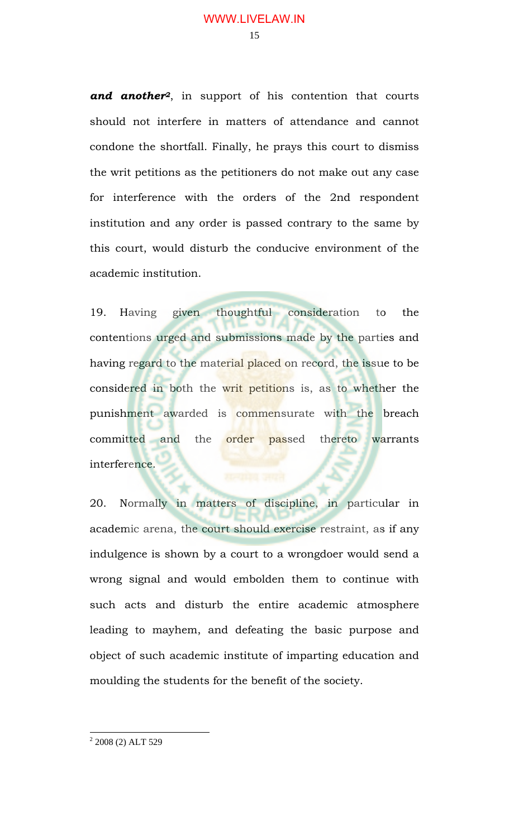and another<sup>2</sup>, in support of his contention that courts should not interfere in matters of attendance and cannot condone the shortfall. Finally, he prays this court to dismiss the writ petitions as the petitioners do not make out any case for interference with the orders of the 2nd respondent institution and any order is passed contrary to the same by this court, would disturb the conducive environment of the academic institution.

19. Having given thoughtful consideration to the contentions urged and submissions made by the parties and having regard to the material placed on record, the issue to be considered in both the writ petitions is, as to whether the punishment awarded is commensurate with the breach committed and the order passed thereto warrants interference.

20. Normally in matters of discipline, in particular in academic arena, the court should exercise restraint, as if any indulgence is shown by a court to a wrongdoer would send a wrong signal and would embolden them to continue with such acts and disturb the entire academic atmosphere leading to mayhem, and defeating the basic purpose and object of such academic institute of imparting education and moulding the students for the benefit of the society.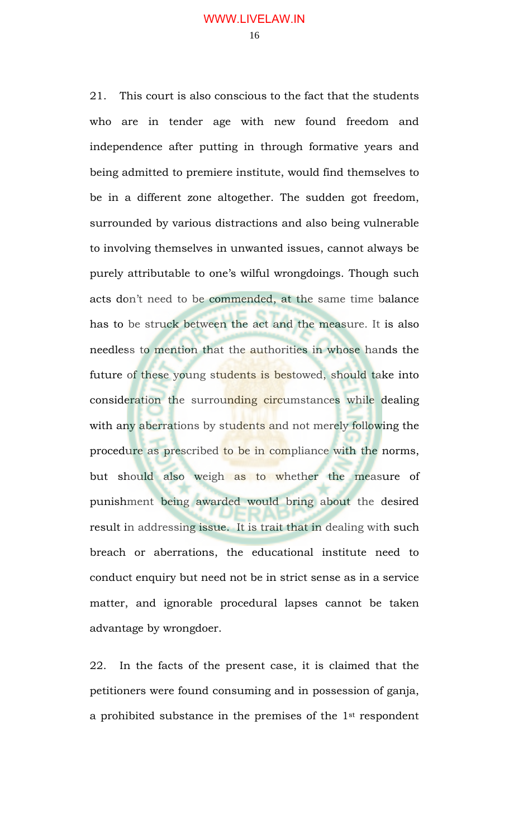21. This court is also conscious to the fact that the students who are in tender age with new found freedom and independence after putting in through formative years and being admitted to premiere institute, would find themselves to be in a different zone altogether. The sudden got freedom, surrounded by various distractions and also being vulnerable to involving themselves in unwanted issues, cannot always be purely attributable to one's wilful wrongdoings. Though such acts don't need to be commended, at the same time balance has to be struck between the act and the measure. It is also needless to mention that the authorities in whose hands the future of these young students is bestowed, should take into consideration the surrounding circumstances while dealing with any aberrations by students and not merely following the procedure as prescribed to be in compliance with the norms, but should also weigh as to whether the measure of punishment being awarded would bring about the desired result in addressing issue. It is trait that in dealing with such breach or aberrations, the educational institute need to conduct enquiry but need not be in strict sense as in a service matter, and ignorable procedural lapses cannot be taken advantage by wrongdoer.

22. In the facts of the present case, it is claimed that the petitioners were found consuming and in possession of ganja, a prohibited substance in the premises of the 1st respondent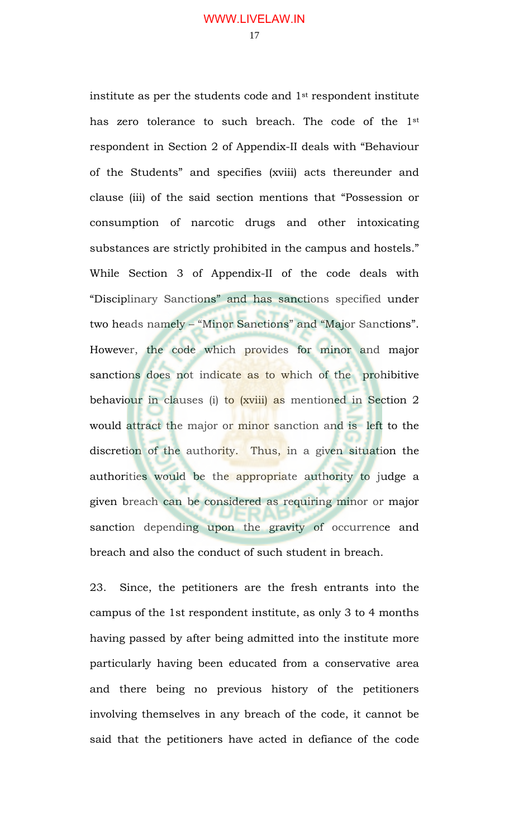institute as per the students code and 1st respondent institute has zero tolerance to such breach. The code of the 1st respondent in Section 2 of Appendix-II deals with "Behaviour of the Students" and specifies (xviii) acts thereunder and clause (iii) of the said section mentions that "Possession or consumption of narcotic drugs and other intoxicating substances are strictly prohibited in the campus and hostels." While Section 3 of Appendix-II of the code deals with "Disciplinary Sanctions" and has sanctions specified under two heads namely – "Minor Sanctions" and "Major Sanctions". However, the code which provides for minor and major sanctions does not indicate as to which of the prohibitive behaviour in clauses (i) to (xviii) as mentioned in Section 2 would attract the major or minor sanction and is left to the discretion of the authority. Thus, in a given situation the authorities would be the appropriate authority to judge a given breach can be considered as requiring minor or major sanction depending upon the gravity of occurrence and breach and also the conduct of such student in breach.

23. Since, the petitioners are the fresh entrants into the campus of the 1st respondent institute, as only 3 to 4 months having passed by after being admitted into the institute more particularly having been educated from a conservative area and there being no previous history of the petitioners involving themselves in any breach of the code, it cannot be said that the petitioners have acted in defiance of the code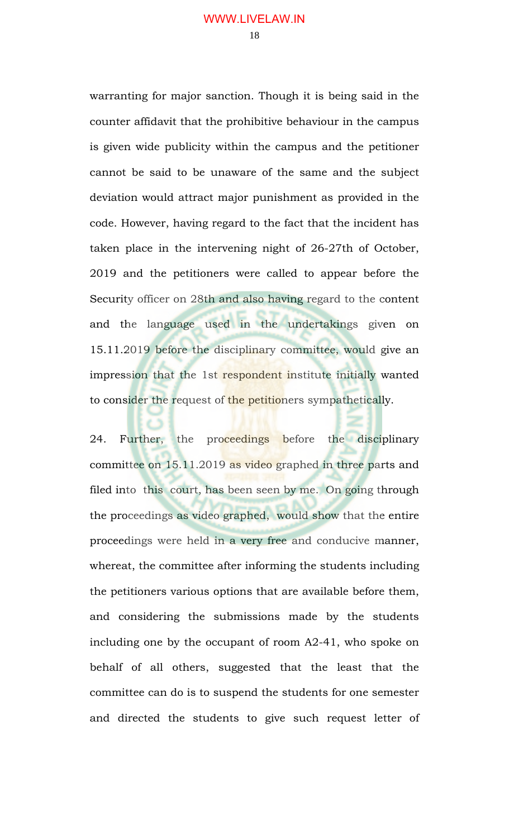warranting for major sanction. Though it is being said in the counter affidavit that the prohibitive behaviour in the campus is given wide publicity within the campus and the petitioner cannot be said to be unaware of the same and the subject deviation would attract major punishment as provided in the code. However, having regard to the fact that the incident has taken place in the intervening night of 26-27th of October, 2019 and the petitioners were called to appear before the Security officer on 28th and also having regard to the content and the language used in the undertakings given on 15.11.2019 before the disciplinary committee, would give an impression that the 1st respondent institute initially wanted to consider the request of the petitioners sympathetically.

24. Further, the proceedings before the disciplinary committee on 15.11.2019 as video graphed in three parts and filed into this court, has been seen by me. On going through the proceedings as video graphed, would show that the entire proceedings were held in a very free and conducive manner, whereat, the committee after informing the students including the petitioners various options that are available before them, and considering the submissions made by the students including one by the occupant of room A2-41, who spoke on behalf of all others, suggested that the least that the committee can do is to suspend the students for one semester and directed the students to give such request letter of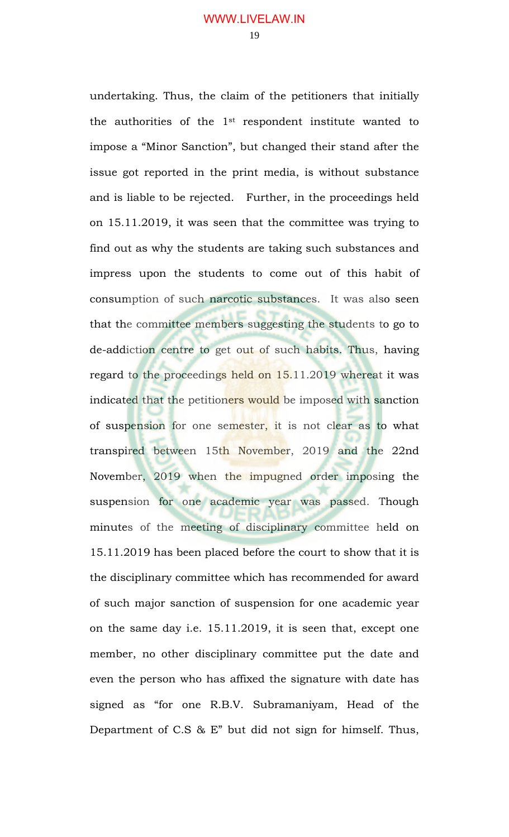undertaking. Thus, the claim of the petitioners that initially the authorities of the 1st respondent institute wanted to impose a "Minor Sanction", but changed their stand after the issue got reported in the print media, is without substance and is liable to be rejected. Further, in the proceedings held on 15.11.2019, it was seen that the committee was trying to find out as why the students are taking such substances and impress upon the students to come out of this habit of consumption of such narcotic substances. It was also seen that the committee members suggesting the students to go to de-addiction centre to get out of such habits. Thus, having regard to the proceedings held on 15.11.2019 whereat it was indicated that the petitioners would be imposed with sanction of suspension for one semester, it is not clear as to what transpired between 15th November, 2019 and the 22nd November, 2019 when the impugned order imposing the suspension for one academic year was passed. Though minutes of the meeting of disciplinary committee held on 15.11.2019 has been placed before the court to show that it is the disciplinary committee which has recommended for award of such major sanction of suspension for one academic year on the same day i.e. 15.11.2019, it is seen that, except one member, no other disciplinary committee put the date and even the person who has affixed the signature with date has signed as "for one R.B.V. Subramaniyam, Head of the Department of C.S & E" but did not sign for himself. Thus,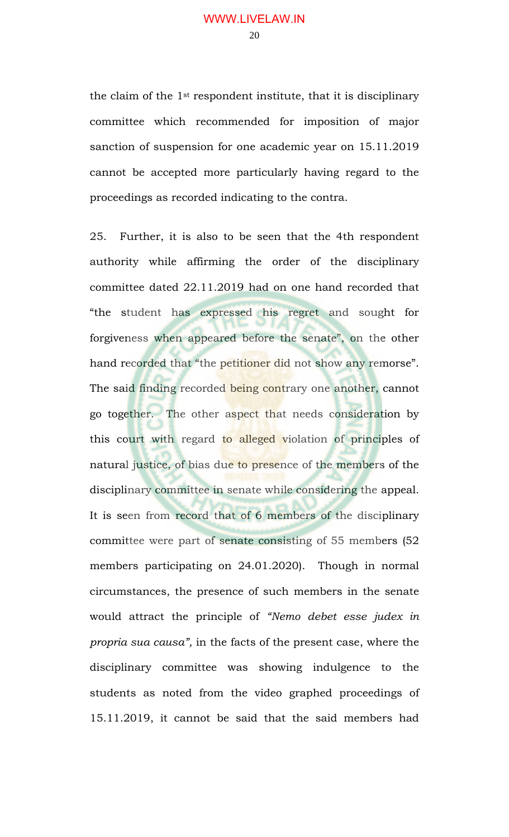the claim of the 1st respondent institute, that it is disciplinary committee which recommended for imposition of major sanction of suspension for one academic year on 15.11.2019 cannot be accepted more particularly having regard to the proceedings as recorded indicating to the contra.

25. Further, it is also to be seen that the 4th respondent authority while affirming the order of the disciplinary committee dated 22.11.2019 had on one hand recorded that "the student has expressed his regret and sought for forgiveness when appeared before the senate", on the other hand recorded that "the petitioner did not show any remorse". The said finding recorded being contrary one another, cannot go together. The other aspect that needs consideration by this court with regard to alleged violation of principles of natural justice, of bias due to presence of the members of the disciplinary committee in senate while considering the appeal. It is seen from record that of 6 members of the disciplinary committee were part of senate consisting of 55 members (52 members participating on 24.01.2020). Though in normal circumstances, the presence of such members in the senate would attract the principle of *"Nemo debet esse judex in propria sua causa",* in the facts of the present case, where the disciplinary committee was showing indulgence to the students as noted from the video graphed proceedings of 15.11.2019, it cannot be said that the said members had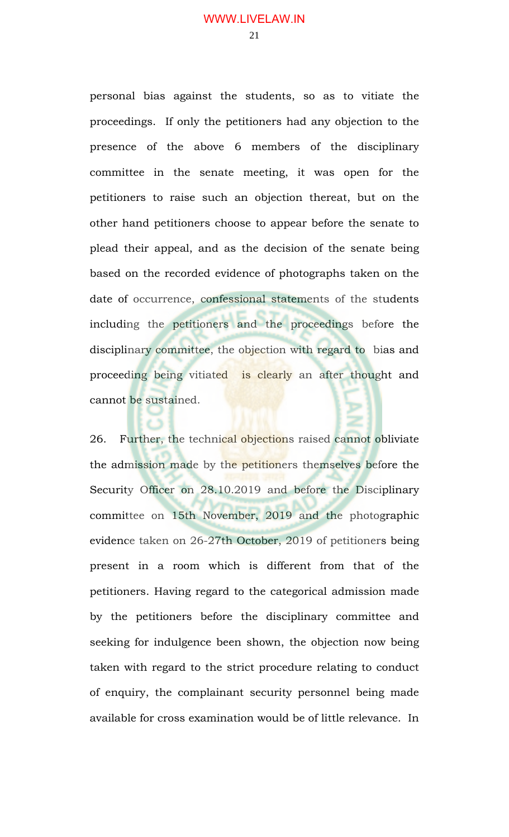personal bias against the students, so as to vitiate the proceedings. If only the petitioners had any objection to the presence of the above 6 members of the disciplinary committee in the senate meeting, it was open for the petitioners to raise such an objection thereat, but on the other hand petitioners choose to appear before the senate to plead their appeal, and as the decision of the senate being based on the recorded evidence of photographs taken on the date of occurrence, confessional statements of the students including the petitioners and the proceedings before the disciplinary committee, the objection with regard to bias and proceeding being vitiated is clearly an after thought and cannot be sustained.

26. Further, the technical objections raised cannot obliviate the admission made by the petitioners themselves before the Security Officer on 28.10.2019 and before the Disciplinary committee on 15th November, 2019 and the photographic evidence taken on 26-27th October, 2019 of petitioners being present in a room which is different from that of the petitioners. Having regard to the categorical admission made by the petitioners before the disciplinary committee and seeking for indulgence been shown, the objection now being taken with regard to the strict procedure relating to conduct of enquiry, the complainant security personnel being made available for cross examination would be of little relevance. In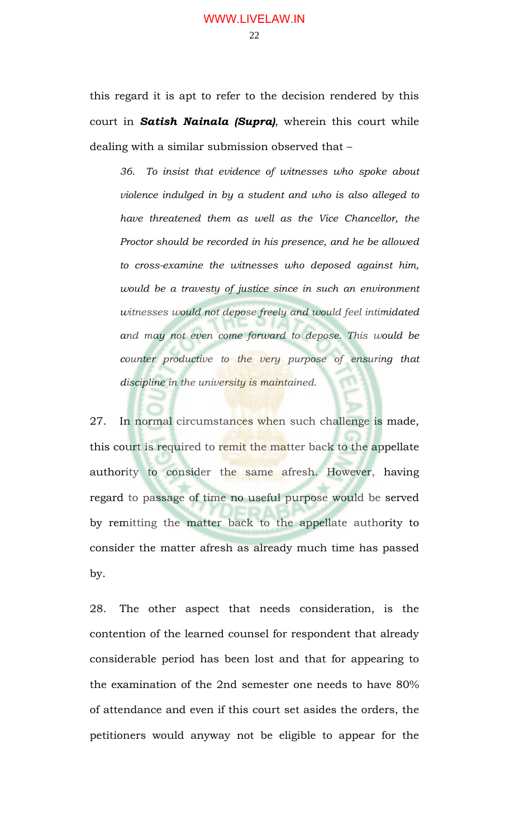this regard it is apt to refer to the decision rendered by this court in *Satish Nainala (Supra)*, wherein this court while dealing with a similar submission observed that –

*36. To insist that evidence of witnesses who spoke about violence indulged in by a student and who is also alleged to have threatened them as well as the Vice Chancellor, the Proctor should be recorded in his presence, and he be allowed to cross-examine the witnesses who deposed against him, would be a travesty of justice since in such an environment witnesses would not depose freely and would feel intimidated and may not even come forward to depose. This would be counter productive to the very purpose of ensuring that discipline in the university is maintained.* 

27. In normal circumstances when such challenge is made, this court is required to remit the matter back to the appellate authority to consider the same afresh. However, having regard to passage of time no useful purpose would be served by remitting the matter back to the appellate authority to consider the matter afresh as already much time has passed by.

28. The other aspect that needs consideration, is the contention of the learned counsel for respondent that already considerable period has been lost and that for appearing to the examination of the 2nd semester one needs to have 80% of attendance and even if this court set asides the orders, the petitioners would anyway not be eligible to appear for the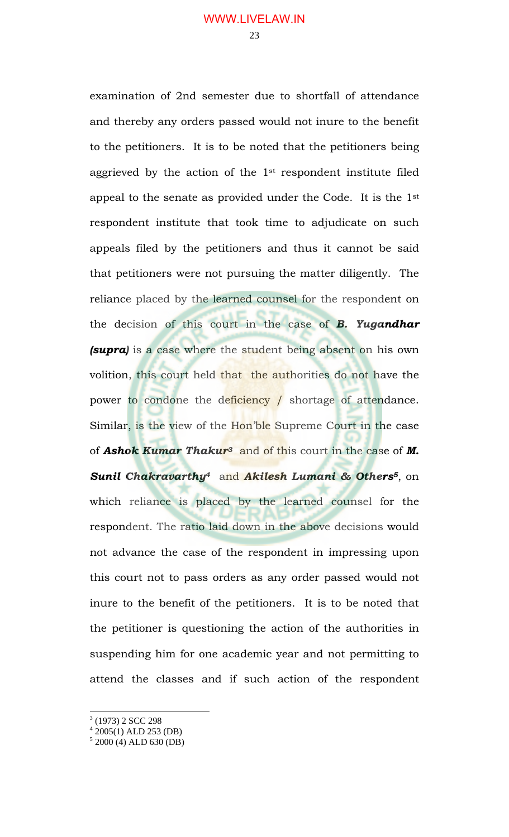examination of 2nd semester due to shortfall of attendance and thereby any orders passed would not inure to the benefit to the petitioners. It is to be noted that the petitioners being aggrieved by the action of the 1st respondent institute filed appeal to the senate as provided under the Code. It is the 1st respondent institute that took time to adjudicate on such appeals filed by the petitioners and thus it cannot be said that petitioners were not pursuing the matter diligently. The reliance placed by the learned counsel for the respondent on the decision of this court in the case of *B. Yugandhar (supra)* is a case where the student being absent on his own volition, this court held that the authorities do not have the power to condone the deficiency / shortage of attendance. Similar, is the view of the Hon'ble Supreme Court in the case of *Ashok Kumar Thakur3* and of this court in the case of *M. Sunil Chakravarthy4* and *Akilesh Lumani & Others5*, on which reliance is placed by the learned counsel for the respondent. The ratio laid down in the above decisions would not advance the case of the respondent in impressing upon this court not to pass orders as any order passed would not inure to the benefit of the petitioners. It is to be noted that the petitioner is questioning the action of the authorities in suspending him for one academic year and not permitting to attend the classes and if such action of the respondent

 $\overline{a}$ 

<sup>&</sup>lt;sup>3</sup> (1973) 2 SCC 298

<sup>4</sup> 2005(1) ALD 253 (DB)

<sup>5</sup> 2000 (4) ALD 630 (DB)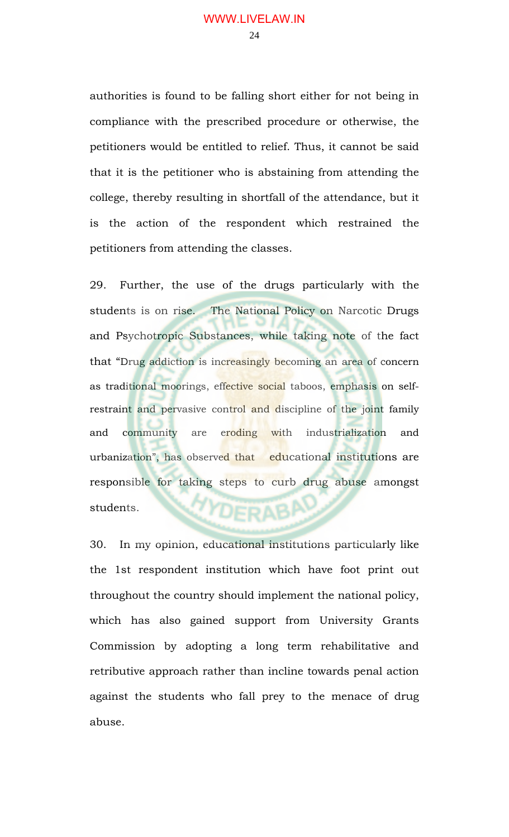authorities is found to be falling short either for not being in compliance with the prescribed procedure or otherwise, the petitioners would be entitled to relief. Thus, it cannot be said that it is the petitioner who is abstaining from attending the college, thereby resulting in shortfall of the attendance, but it is the action of the respondent which restrained the petitioners from attending the classes.

29. Further, the use of the drugs particularly with the students is on rise. The National Policy on Narcotic Drugs and Psychotropic Substances, while taking note of the fact that "Drug addiction is increasingly becoming an area of concern as traditional moorings, effective social taboos, emphasis on selfrestraint and pervasive control and discipline of the joint family and community are eroding with industrialization and urbanization", has observed that educational institutions are responsible for taking steps to curb drug abuse amongst **YYDERABAL** students.

30. In my opinion, educational institutions particularly like the 1st respondent institution which have foot print out throughout the country should implement the national policy, which has also gained support from University Grants Commission by adopting a long term rehabilitative and retributive approach rather than incline towards penal action against the students who fall prey to the menace of drug abuse.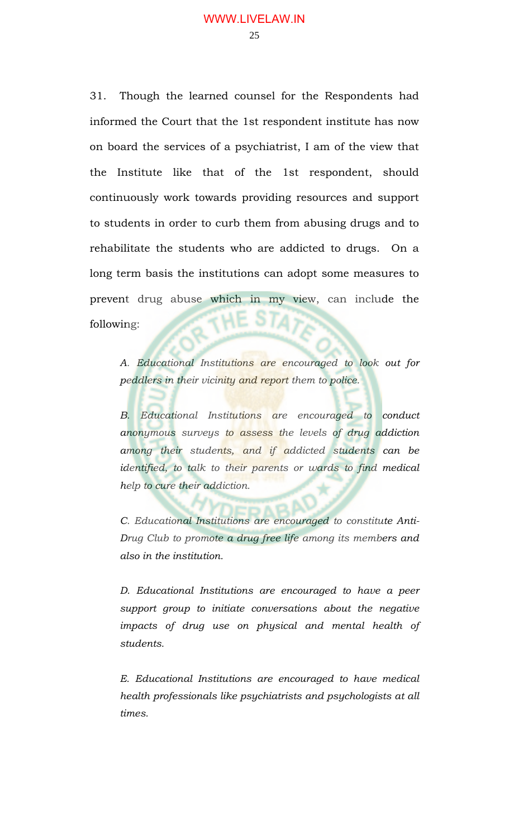31. Though the learned counsel for the Respondents had informed the Court that the 1st respondent institute has now on board the services of a psychiatrist, I am of the view that the Institute like that of the 1st respondent, should continuously work towards providing resources and support to students in order to curb them from abusing drugs and to rehabilitate the students who are addicted to drugs. On a long term basis the institutions can adopt some measures to prevent drug abuse which in my view, can include the following:

*A. Educational Institutions are encouraged to look out for peddlers in their vicinity and report them to police.* 

*B. Educational Institutions are encouraged to conduct anonymous surveys to assess the levels of drug addiction among their students, and if addicted students can be*  identified, to talk to their parents or wards to find medical *help to cure their addiction.* 

*C. Educational Institutions are encouraged to constitute Anti-Drug Club to promote a drug free life among its members and also in the institution.* 

*D. Educational Institutions are encouraged to have a peer support group to initiate conversations about the negative impacts of drug use on physical and mental health of students.* 

*E. Educational Institutions are encouraged to have medical health professionals like psychiatrists and psychologists at all times.*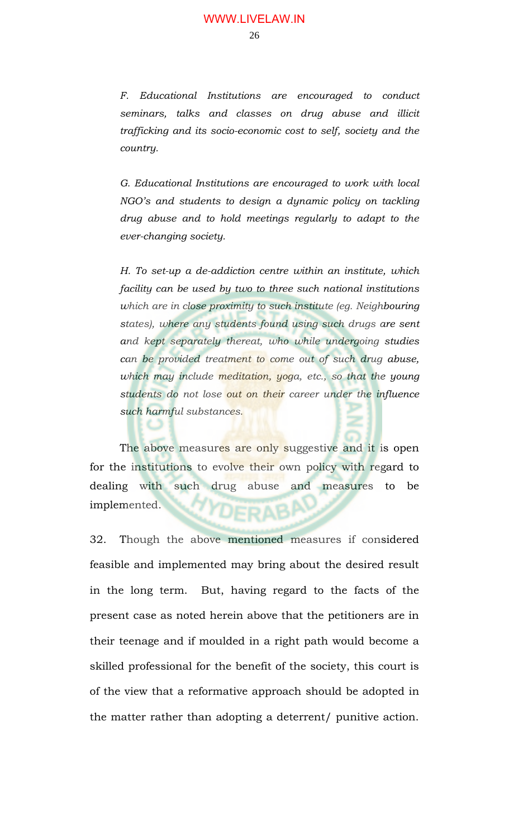*F. Educational Institutions are encouraged to conduct seminars, talks and classes on drug abuse and illicit trafficking and its socio-economic cost to self, society and the country.* 

*G. Educational Institutions are encouraged to work with local NGO's and students to design a dynamic policy on tackling drug abuse and to hold meetings regularly to adapt to the ever-changing society.* 

*H. To set-up a de-addiction centre within an institute, which facility can be used by two to three such national institutions which are in close proximity to such institute (eg. Neighbouring states), where any students found using such drugs are sent and kept separately thereat, who while undergoing studies can be provided treatment to come out of such drug abuse, which may include meditation, yoga, etc., so that the young students do not lose out on their career under the influence such harmful substances.* 

The above measures are only suggestive and it is open for the institutions to evolve their own policy with regard to dealing with such drug abuse and measures to be implemented. DERABI

c

32. Though the above mentioned measures if considered feasible and implemented may bring about the desired result in the long term. But, having regard to the facts of the present case as noted herein above that the petitioners are in their teenage and if moulded in a right path would become a skilled professional for the benefit of the society, this court is of the view that a reformative approach should be adopted in the matter rather than adopting a deterrent/ punitive action.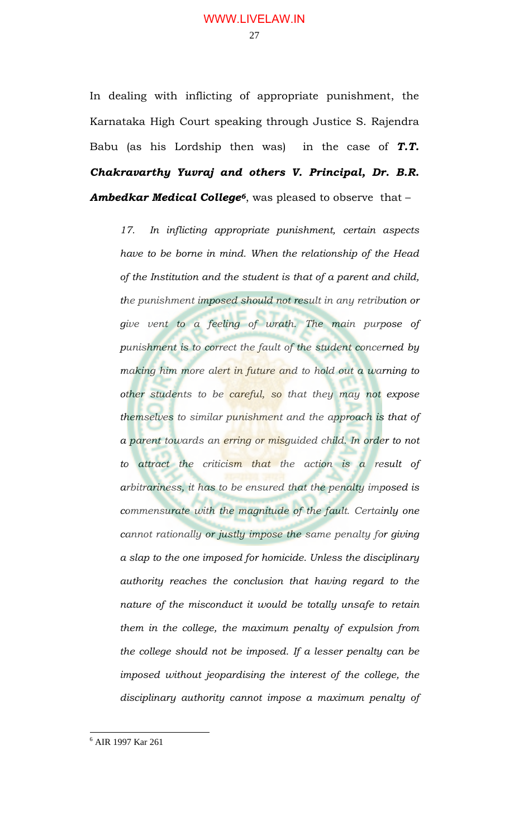In dealing with inflicting of appropriate punishment, the Karnataka High Court speaking through Justice S. Rajendra Babu (as his Lordship then was) in the case of *T.T. Chakravarthy Yuvraj and others V. Principal, Dr. B.R. Ambedkar Medical College6*, was pleased to observe that –

*17. In inflicting appropriate punishment, certain aspects have to be borne in mind. When the relationship of the Head of the Institution and the student is that of a parent and child, the punishment imposed should not result in any retribution or give vent to a feeling of wrath. The main purpose of punishment is to correct the fault of the student concerned by making him more alert in future and to hold out a warning to other students to be careful, so that they may not expose themselves to similar punishment and the approach is that of a parent towards an erring or misguided child. In order to not to attract the criticism that the action is a result of arbitrariness, it has to be ensured that the penalty imposed is commensurate with the magnitude of the fault. Certainly one cannot rationally or justly impose the same penalty for giving a slap to the one imposed for homicide. Unless the disciplinary authority reaches the conclusion that having regard to the nature of the misconduct it would be totally unsafe to retain them in the college, the maximum penalty of expulsion from the college should not be imposed. If a lesser penalty can be imposed without jeopardising the interest of the college, the disciplinary authority cannot impose a maximum penalty of* 

 $\overline{a}$ 

<sup>6</sup> AIR 1997 Kar 261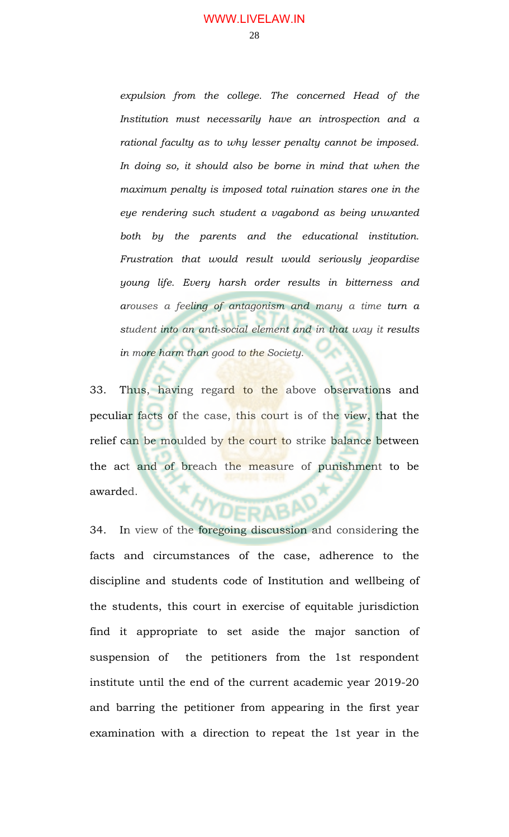*expulsion from the college. The concerned Head of the Institution must necessarily have an introspection and a rational faculty as to why lesser penalty cannot be imposed. In doing so, it should also be borne in mind that when the maximum penalty is imposed total ruination stares one in the eye rendering such student a vagabond as being unwanted both by the parents and the educational institution. Frustration that would result would seriously jeopardise young life. Every harsh order results in bitterness and arouses a feeling of antagonism and many a time turn a student into an anti-social element and in that way it results in more harm than good to the Society.* 

33. Thus, having regard to the above observations and peculiar facts of the case, this court is of the view, that the relief can be moulded by the court to strike balance between the act and of breach the measure of punishment to be awarded.

34. In view of the foregoing discussion and considering the facts and circumstances of the case, adherence to the discipline and students code of Institution and wellbeing of the students, this court in exercise of equitable jurisdiction find it appropriate to set aside the major sanction of suspension of the petitioners from the 1st respondent institute until the end of the current academic year 2019-20 and barring the petitioner from appearing in the first year examination with a direction to repeat the 1st year in the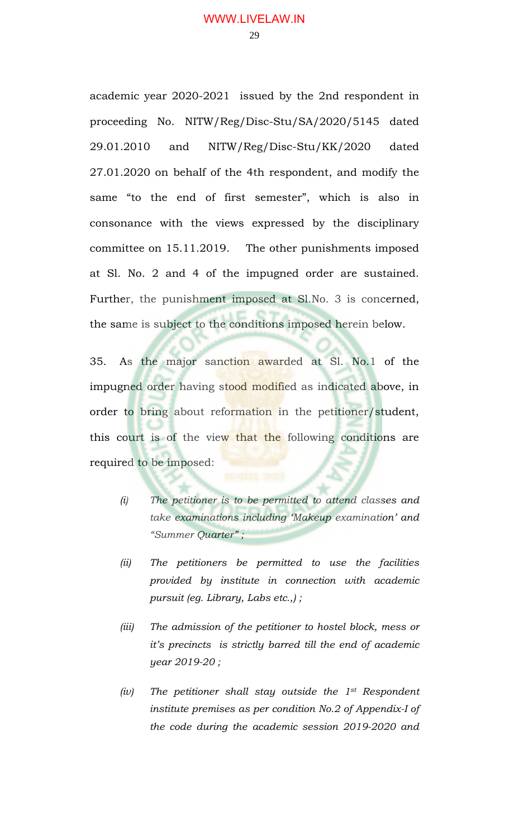academic year 2020-2021 issued by the 2nd respondent in proceeding No. NITW/Reg/Disc-Stu/SA/2020/5145 dated 29.01.2010 and NITW/Reg/Disc-Stu/KK/2020 dated 27.01.2020 on behalf of the 4th respondent, and modify the same "to the end of first semester", which is also in consonance with the views expressed by the disciplinary committee on 15.11.2019. The other punishments imposed at Sl. No. 2 and 4 of the impugned order are sustained. Further, the punishment imposed at Sl.No. 3 is concerned, the same is subject to the conditions imposed herein below.

35. As the major sanction awarded at Sl. No.1 of the impugned order having stood modified as indicated above, in order to bring about reformation in the petitioner/student, this court is of the view that the following conditions are required to be imposed:

- *(i) The petitioner is to be permitted to attend classes and take examinations including 'Makeup examination' and "Summer Quarter" ;*
- *(ii) The petitioners be permitted to use the facilities provided by institute in connection with academic pursuit (eg. Library, Labs etc.,) ;*
- *(iii) The admission of the petitioner to hostel block, mess or it's precincts is strictly barred till the end of academic year 2019-20 ;*
- *(iv) The petitioner shall stay outside the 1st Respondent institute premises as per condition No.2 of Appendix-I of the code during the academic session 2019-2020 and*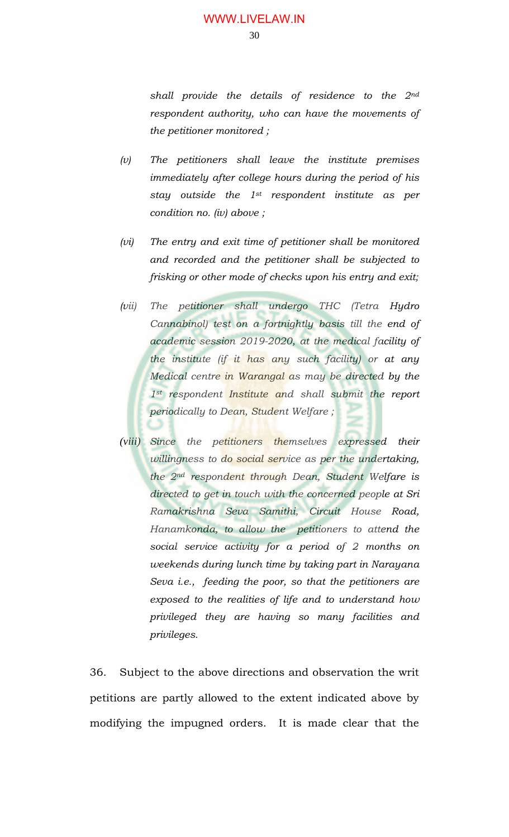*shall provide the details of residence to the 2nd respondent authority, who can have the movements of the petitioner monitored ;* 

- *(v) The petitioners shall leave the institute premises immediately after college hours during the period of his stay outside the 1st respondent institute as per condition no. (iv) above ;*
- *(vi) The entry and exit time of petitioner shall be monitored and recorded and the petitioner shall be subjected to frisking or other mode of checks upon his entry and exit;*
- *(vii) The petitioner shall undergo THC (Tetra Hydro Cannabinol) test on a fortnightly basis till the end of academic session 2019-2020, at the medical facility of the institute (if it has any such facility) or at any Medical centre in Warangal as may be directed by the 1st respondent Institute and shall submit the report periodically to Dean, Student Welfare ;*
- *(viii) Since the petitioners themselves expressed their willingness to do social service as per the undertaking, the 2nd respondent through Dean, Student Welfare is directed to get in touch with the concerned people at Sri Ramakrishna Seva Samithi, Circuit House Road, Hanamkonda, to allow the petitioners to attend the social service activity for a period of 2 months on weekends during lunch time by taking part in Narayana Seva i.e., feeding the poor, so that the petitioners are exposed to the realities of life and to understand how privileged they are having so many facilities and privileges.*

36. Subject to the above directions and observation the writ petitions are partly allowed to the extent indicated above by modifying the impugned orders. It is made clear that the